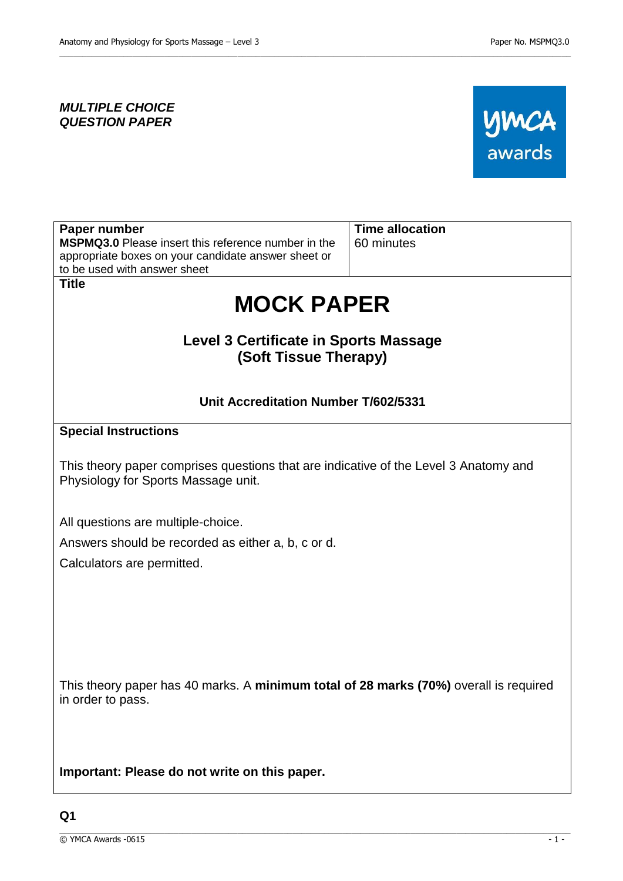### *MULTIPLE CHOICE QUESTION PAPER*



| Paper number                                                                                                                | <b>Time allocation</b> |
|-----------------------------------------------------------------------------------------------------------------------------|------------------------|
| <b>MSPMQ3.0</b> Please insert this reference number in the<br>appropriate boxes on your candidate answer sheet or           | 60 minutes             |
| to be used with answer sheet                                                                                                |                        |
| <b>Title</b>                                                                                                                |                        |
| <b>MOCK PAPER</b>                                                                                                           |                        |
| <b>Level 3 Certificate in Sports Massage</b><br>(Soft Tissue Therapy)                                                       |                        |
|                                                                                                                             |                        |
| Unit Accreditation Number T/602/5331                                                                                        |                        |
| <b>Special Instructions</b>                                                                                                 |                        |
| This theory paper comprises questions that are indicative of the Level 3 Anatomy and<br>Physiology for Sports Massage unit. |                        |
| All questions are multiple-choice.                                                                                          |                        |
| Answers should be recorded as either a, b, c or d.                                                                          |                        |
| Calculators are permitted.                                                                                                  |                        |
|                                                                                                                             |                        |
|                                                                                                                             |                        |
|                                                                                                                             |                        |
|                                                                                                                             |                        |
|                                                                                                                             |                        |
| This theory paper has 40 marks. A minimum total of 28 marks (70%) overall is required<br>in order to pass.                  |                        |
|                                                                                                                             |                        |
| Important: Please do not write on this paper.                                                                               |                        |

\_\_\_\_\_\_\_\_\_\_\_\_\_\_\_\_\_\_\_\_\_\_\_\_\_\_\_\_\_\_\_\_\_\_\_\_\_\_\_\_\_\_\_\_\_\_\_\_\_\_\_\_\_\_\_\_\_\_\_\_\_\_\_\_\_\_\_\_\_\_\_\_\_\_\_\_\_\_\_\_\_\_\_\_\_\_\_\_\_\_\_\_\_\_\_\_\_\_\_\_\_\_\_\_\_\_\_\_\_\_\_\_

 $\_$  ,  $\_$  ,  $\_$  ,  $\_$  ,  $\_$  ,  $\_$  ,  $\_$  ,  $\_$  ,  $\_$  ,  $\_$  ,  $\_$  ,  $\_$  ,  $\_$  ,  $\_$  ,  $\_$  ,  $\_$  ,  $\_$  ,  $\_$  ,  $\_$  ,  $\_$  ,  $\_$  ,  $\_$  ,  $\_$  ,  $\_$  ,  $\_$  ,  $\_$  ,  $\_$  ,  $\_$  ,  $\_$  ,  $\_$  ,  $\_$  ,  $\_$  ,  $\_$  ,  $\_$  ,  $\_$  ,  $\_$  ,  $\_$  ,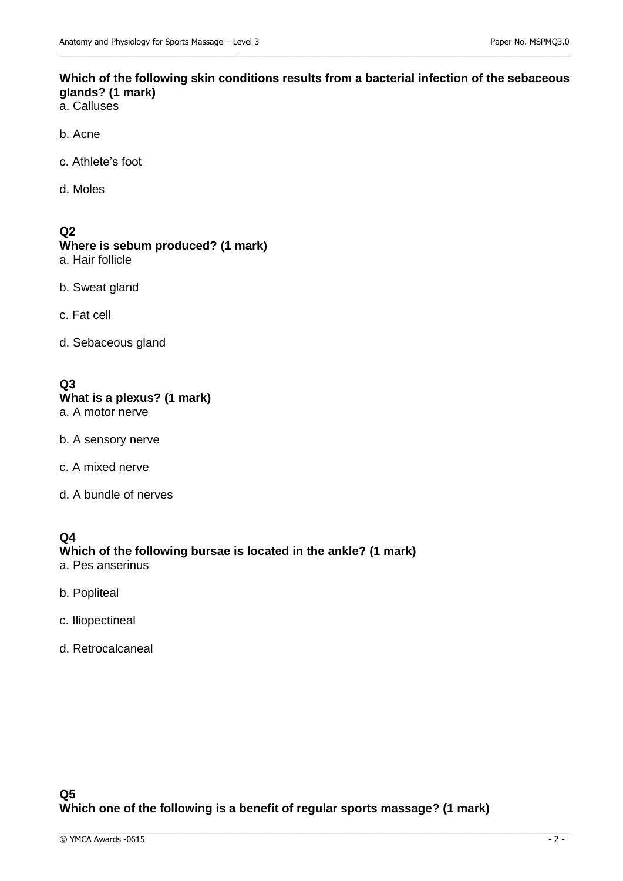### **Which of the following skin conditions results from a bacterial infection of the sebaceous glands? (1 mark)**

 $\_$  ,  $\_$  ,  $\_$  ,  $\_$  ,  $\_$  ,  $\_$  ,  $\_$  ,  $\_$  ,  $\_$  ,  $\_$  ,  $\_$  ,  $\_$  ,  $\_$  ,  $\_$  ,  $\_$  ,  $\_$  ,  $\_$  ,  $\_$  ,  $\_$  ,  $\_$  ,  $\_$  ,  $\_$  ,  $\_$  ,  $\_$  ,  $\_$  ,  $\_$  ,  $\_$  ,  $\_$  ,  $\_$  ,  $\_$  ,  $\_$  ,  $\_$  ,  $\_$  ,  $\_$  ,  $\_$  ,  $\_$  ,  $\_$  ,

- a. Calluses
- b. Acne
- c. Athlete's foot
- d. Moles

#### **Q2**

# **Where is sebum produced? (1 mark)**

- a. Hair follicle
- b. Sweat gland
- c. Fat cell
- d. Sebaceous gland

# **Q3 What is a plexus? (1 mark)**

- a. A motor nerve
- b. A sensory nerve
- c. A mixed nerve
- d. A bundle of nerves

### **Q4 Which of the following bursae is located in the ankle? (1 mark)**

- a. Pes anserinus
- b. Popliteal
- c. Iliopectineal
- d. Retrocalcaneal

### **Q5 Which one of the following is a benefit of regular sports massage? (1 mark)**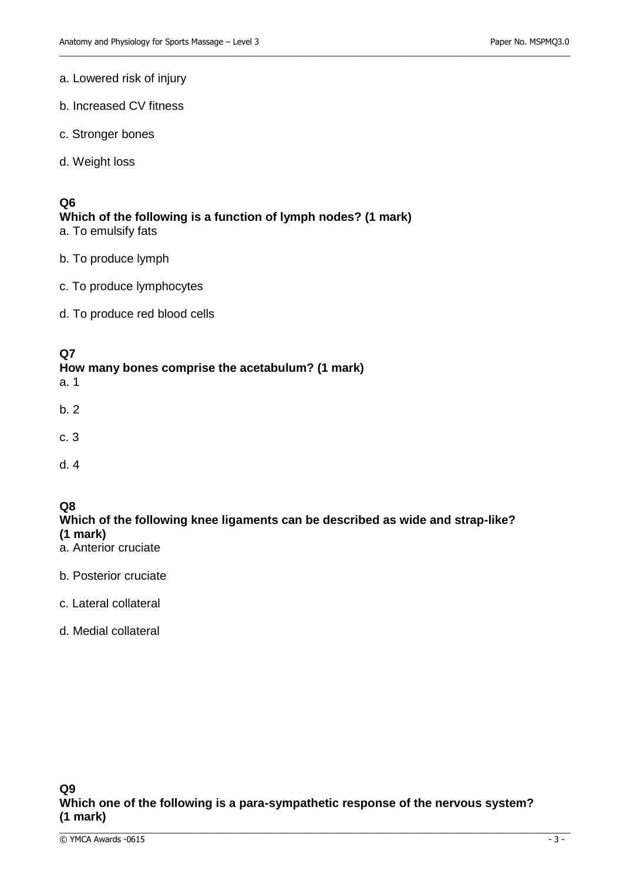### a. Lowered risk of injury

- b. Increased CV fitness
- c. Stronger bones
- d. Weight loss

### **Q6**

# **Which of the following is a function of lymph nodes? (1 mark)**

 $\_$  ,  $\_$  ,  $\_$  ,  $\_$  ,  $\_$  ,  $\_$  ,  $\_$  ,  $\_$  ,  $\_$  ,  $\_$  ,  $\_$  ,  $\_$  ,  $\_$  ,  $\_$  ,  $\_$  ,  $\_$  ,  $\_$  ,  $\_$  ,  $\_$  ,  $\_$  ,  $\_$  ,  $\_$  ,  $\_$  ,  $\_$  ,  $\_$  ,  $\_$  ,  $\_$  ,  $\_$  ,  $\_$  ,  $\_$  ,  $\_$  ,  $\_$  ,  $\_$  ,  $\_$  ,  $\_$  ,  $\_$  ,  $\_$  ,

a. To emulsify fats

- b. To produce lymph
- c. To produce lymphocytes
- d. To produce red blood cells

### **Q7**

### **How many bones comprise the acetabulum? (1 mark)**

a. 1

- b. 2
- c. 3
- d. 4

### **Q8**

### **Which of the following knee ligaments can be described as wide and strap-like? (1 mark)**

- a. Anterior cruciate
- b. Posterior cruciate
- c. Lateral collateral
- d. Medial collateral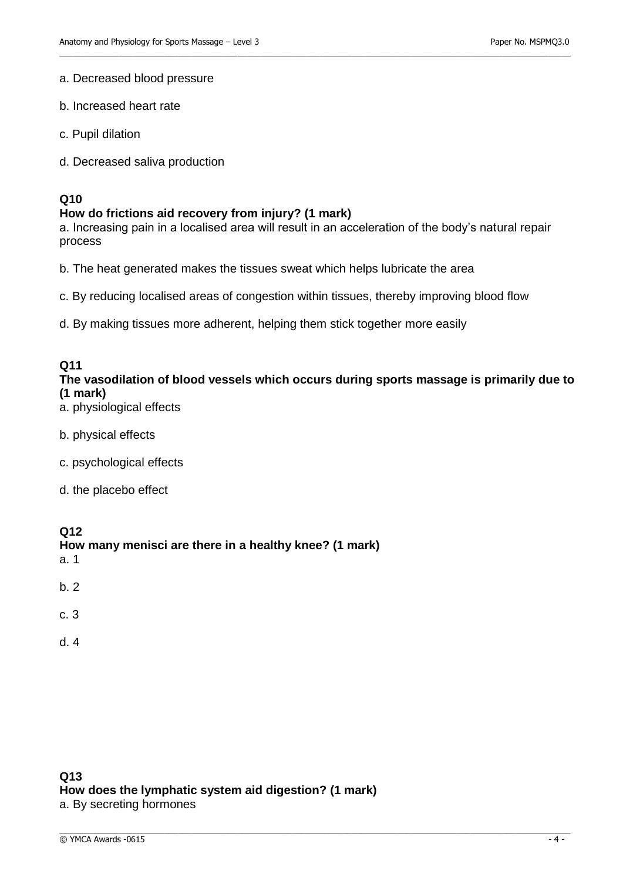#### a. Decreased blood pressure

- b. Increased heart rate
- c. Pupil dilation
- d. Decreased saliva production

### **Q10**

#### **How do frictions aid recovery from injury? (1 mark)**

a. Increasing pain in a localised area will result in an acceleration of the body's natural repair process

 $\_$  ,  $\_$  ,  $\_$  ,  $\_$  ,  $\_$  ,  $\_$  ,  $\_$  ,  $\_$  ,  $\_$  ,  $\_$  ,  $\_$  ,  $\_$  ,  $\_$  ,  $\_$  ,  $\_$  ,  $\_$  ,  $\_$  ,  $\_$  ,  $\_$  ,  $\_$  ,  $\_$  ,  $\_$  ,  $\_$  ,  $\_$  ,  $\_$  ,  $\_$  ,  $\_$  ,  $\_$  ,  $\_$  ,  $\_$  ,  $\_$  ,  $\_$  ,  $\_$  ,  $\_$  ,  $\_$  ,  $\_$  ,  $\_$  ,

b. The heat generated makes the tissues sweat which helps lubricate the area

- c. By reducing localised areas of congestion within tissues, thereby improving blood flow
- d. By making tissues more adherent, helping them stick together more easily

### **Q11**

### **The vasodilation of blood vessels which occurs during sports massage is primarily due to (1 mark)**

\_\_\_\_\_\_\_\_\_\_\_\_\_\_\_\_\_\_\_\_\_\_\_\_\_\_\_\_\_\_\_\_\_\_\_\_\_\_\_\_\_\_\_\_\_\_\_\_\_\_\_\_\_\_\_\_\_\_\_\_\_\_\_\_\_\_\_\_\_\_\_\_\_\_\_\_\_\_\_\_\_\_\_\_\_\_\_\_\_\_\_\_\_\_\_\_\_\_\_\_\_\_\_\_\_\_\_\_\_\_\_\_

- a. physiological effects
- b. physical effects
- c. psychological effects
- d. the placebo effect

#### **Q12**

#### **How many menisci are there in a healthy knee? (1 mark)**  a. 1

- 
- b. 2
- c. 3
- d. 4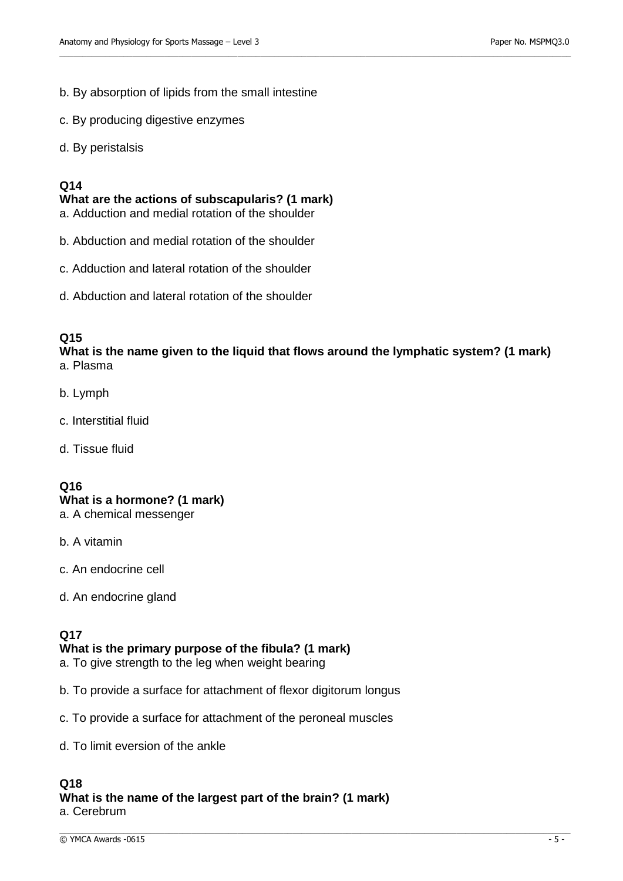- b. By absorption of lipids from the small intestine
- c. By producing digestive enzymes
- d. By peristalsis

### **Q14**

**What are the actions of subscapularis? (1 mark)** 

a. Adduction and medial rotation of the shoulder

- b. Abduction and medial rotation of the shoulder
- c. Adduction and lateral rotation of the shoulder
- d. Abduction and lateral rotation of the shoulder

### **Q15**

**What is the name given to the liquid that flows around the lymphatic system? (1 mark)**  a. Plasma

 $\_$  ,  $\_$  ,  $\_$  ,  $\_$  ,  $\_$  ,  $\_$  ,  $\_$  ,  $\_$  ,  $\_$  ,  $\_$  ,  $\_$  ,  $\_$  ,  $\_$  ,  $\_$  ,  $\_$  ,  $\_$  ,  $\_$  ,  $\_$  ,  $\_$  ,  $\_$  ,  $\_$  ,  $\_$  ,  $\_$  ,  $\_$  ,  $\_$  ,  $\_$  ,  $\_$  ,  $\_$  ,  $\_$  ,  $\_$  ,  $\_$  ,  $\_$  ,  $\_$  ,  $\_$  ,  $\_$  ,  $\_$  ,  $\_$  ,

- b. Lymph
- c. Interstitial fluid
- d. Tissue fluid

### **Q16**

## **What is a hormone? (1 mark)**

- a. A chemical messenger
- b. A vitamin
- c. An endocrine cell
- d. An endocrine gland

#### **Q17 What is the primary purpose of the fibula? (1 mark)**

- a. To give strength to the leg when weight bearing
- b. To provide a surface for attachment of flexor digitorum longus
- c. To provide a surface for attachment of the peroneal muscles
- d. To limit eversion of the ankle

### **Q18**

**What is the name of the largest part of the brain? (1 mark)**  a. Cerebrum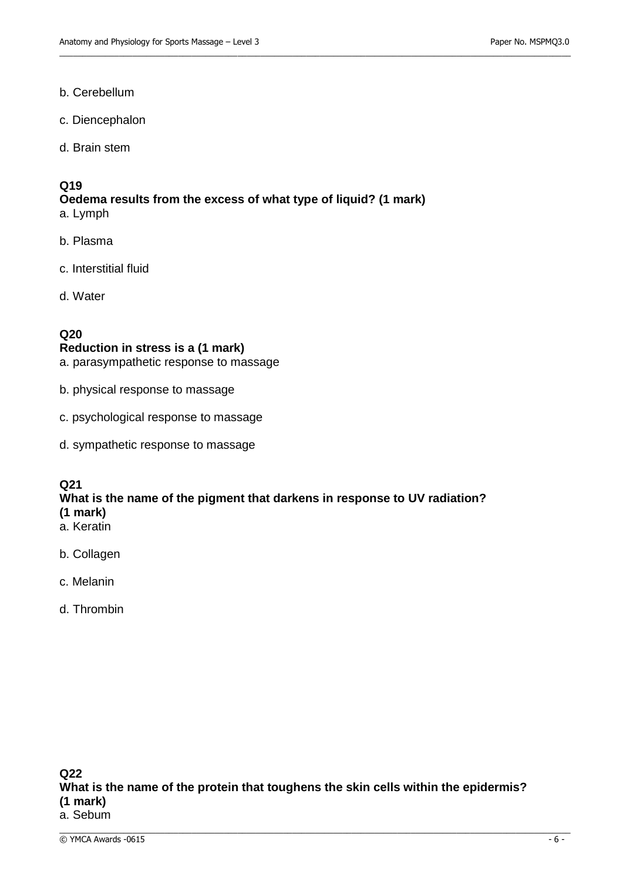#### b. Cerebellum

- c. Diencephalon
- d. Brain stem

# **Q19**

**Oedema results from the excess of what type of liquid? (1 mark)** a. Lymph

 $\_$  ,  $\_$  ,  $\_$  ,  $\_$  ,  $\_$  ,  $\_$  ,  $\_$  ,  $\_$  ,  $\_$  ,  $\_$  ,  $\_$  ,  $\_$  ,  $\_$  ,  $\_$  ,  $\_$  ,  $\_$  ,  $\_$  ,  $\_$  ,  $\_$  ,  $\_$  ,  $\_$  ,  $\_$  ,  $\_$  ,  $\_$  ,  $\_$  ,  $\_$  ,  $\_$  ,  $\_$  ,  $\_$  ,  $\_$  ,  $\_$  ,  $\_$  ,  $\_$  ,  $\_$  ,  $\_$  ,  $\_$  ,  $\_$  ,

- b. Plasma
- c. Interstitial fluid
- d. Water

### **Q20**

#### **Reduction in stress is a (1 mark)**

a. parasympathetic response to massage

- b. physical response to massage
- c. psychological response to massage
- d. sympathetic response to massage

### **Q21**

#### **What is the name of the pigment that darkens in response to UV radiation? (1 mark)**

- a. Keratin
- b. Collagen
- c. Melanin
- d. Thrombin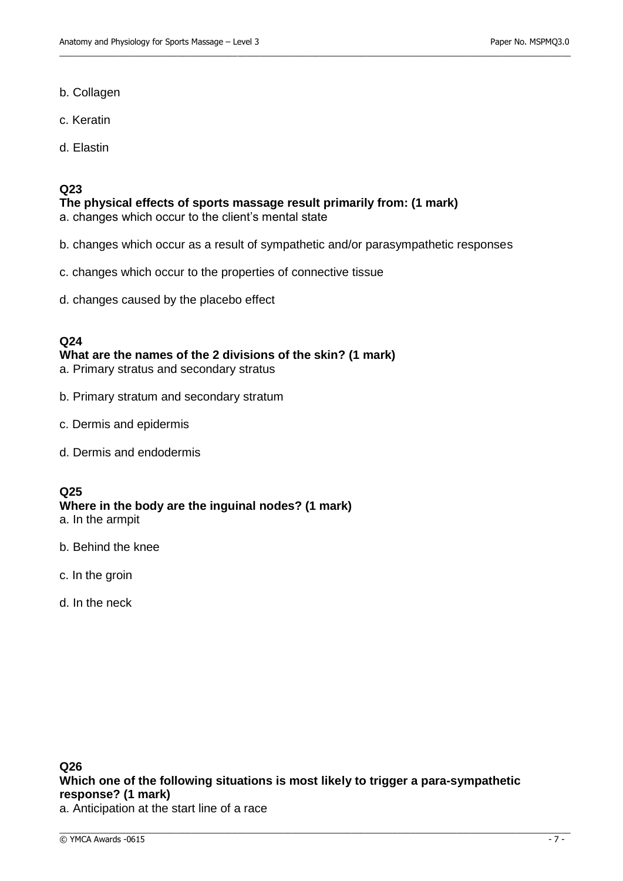- b. Collagen
- c. Keratin
- d. Elastin

### **Q23**

**The physical effects of sports massage result primarily from: (1 mark)**  a. changes which occur to the client's mental state

b. changes which occur as a result of sympathetic and/or parasympathetic responses

 $\_$  ,  $\_$  ,  $\_$  ,  $\_$  ,  $\_$  ,  $\_$  ,  $\_$  ,  $\_$  ,  $\_$  ,  $\_$  ,  $\_$  ,  $\_$  ,  $\_$  ,  $\_$  ,  $\_$  ,  $\_$  ,  $\_$  ,  $\_$  ,  $\_$  ,  $\_$  ,  $\_$  ,  $\_$  ,  $\_$  ,  $\_$  ,  $\_$  ,  $\_$  ,  $\_$  ,  $\_$  ,  $\_$  ,  $\_$  ,  $\_$  ,  $\_$  ,  $\_$  ,  $\_$  ,  $\_$  ,  $\_$  ,  $\_$  ,

- c. changes which occur to the properties of connective tissue
- d. changes caused by the placebo effect

### **Q24**

**What are the names of the 2 divisions of the skin? (1 mark)** 

- a. Primary stratus and secondary stratus
- b. Primary stratum and secondary stratum
- c. Dermis and epidermis
- d. Dermis and endodermis

### **Q25**

# **Where in the body are the inguinal nodes? (1 mark)**

- a. In the armpit
- b. Behind the knee
- c. In the groin
- d. In the neck

\_\_\_\_\_\_\_\_\_\_\_\_\_\_\_\_\_\_\_\_\_\_\_\_\_\_\_\_\_\_\_\_\_\_\_\_\_\_\_\_\_\_\_\_\_\_\_\_\_\_\_\_\_\_\_\_\_\_\_\_\_\_\_\_\_\_\_\_\_\_\_\_\_\_\_\_\_\_\_\_\_\_\_\_\_\_\_\_\_\_\_\_\_\_\_\_\_\_\_\_\_\_\_\_\_\_\_\_\_\_\_\_

a. Anticipation at the start line of a race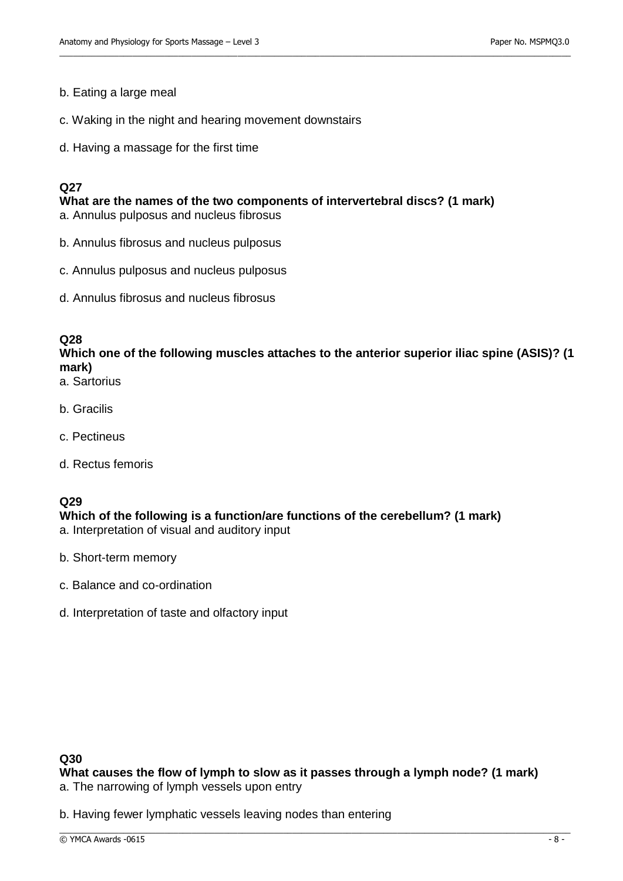#### b. Eating a large meal

- c. Waking in the night and hearing movement downstairs
- d. Having a massage for the first time

### **Q27**

**What are the names of the two components of intervertebral discs? (1 mark)**  a. Annulus pulposus and nucleus fibrosus

- b. Annulus fibrosus and nucleus pulposus
- c. Annulus pulposus and nucleus pulposus
- d. Annulus fibrosus and nucleus fibrosus

### **Q28**

### **Which one of the following muscles attaches to the anterior superior iliac spine (ASIS)? (1 mark)**

 $\_$  ,  $\_$  ,  $\_$  ,  $\_$  ,  $\_$  ,  $\_$  ,  $\_$  ,  $\_$  ,  $\_$  ,  $\_$  ,  $\_$  ,  $\_$  ,  $\_$  ,  $\_$  ,  $\_$  ,  $\_$  ,  $\_$  ,  $\_$  ,  $\_$  ,  $\_$  ,  $\_$  ,  $\_$  ,  $\_$  ,  $\_$  ,  $\_$  ,  $\_$  ,  $\_$  ,  $\_$  ,  $\_$  ,  $\_$  ,  $\_$  ,  $\_$  ,  $\_$  ,  $\_$  ,  $\_$  ,  $\_$  ,  $\_$  ,

- a. Sartorius
- b. Gracilis
- c. Pectineus
- d. Rectus femoris

### **Q29**

### **Which of the following is a function/are functions of the cerebellum? (1 mark)**

- a. Interpretation of visual and auditory input
- b. Short-term memory
- c. Balance and co-ordination
- d. Interpretation of taste and olfactory input

#### **Q30**

**What causes the flow of lymph to slow as it passes through a lymph node? (1 mark)**  a. The narrowing of lymph vessels upon entry

\_\_\_\_\_\_\_\_\_\_\_\_\_\_\_\_\_\_\_\_\_\_\_\_\_\_\_\_\_\_\_\_\_\_\_\_\_\_\_\_\_\_\_\_\_\_\_\_\_\_\_\_\_\_\_\_\_\_\_\_\_\_\_\_\_\_\_\_\_\_\_\_\_\_\_\_\_\_\_\_\_\_\_\_\_\_\_\_\_\_\_\_\_\_\_\_\_\_\_\_\_\_\_\_\_\_\_\_\_\_\_\_

b. Having fewer lymphatic vessels leaving nodes than entering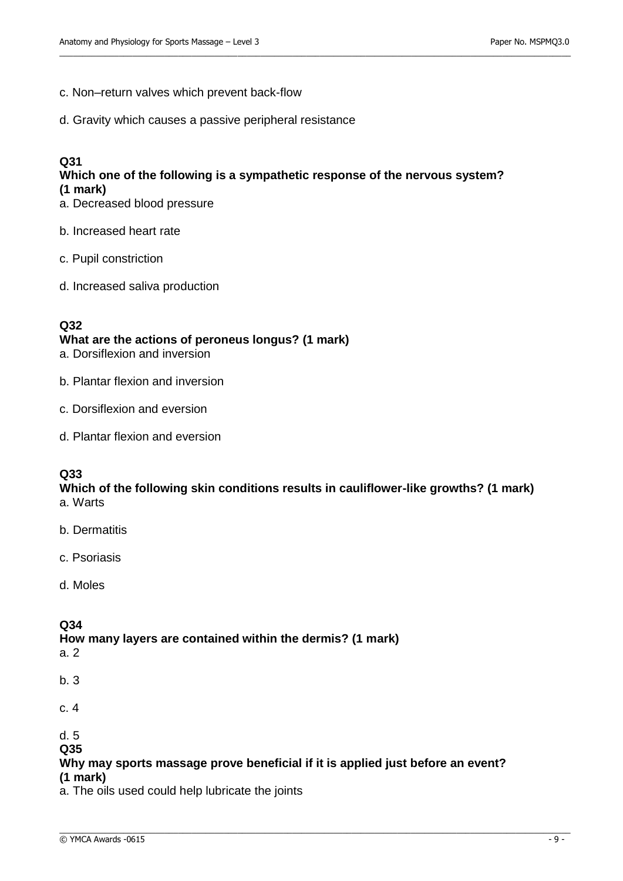- c. Non–return valves which prevent back-flow
- d. Gravity which causes a passive peripheral resistance

#### **Q31 Which one of the following is a sympathetic response of the nervous system? (1 mark)**

 $\_$  ,  $\_$  ,  $\_$  ,  $\_$  ,  $\_$  ,  $\_$  ,  $\_$  ,  $\_$  ,  $\_$  ,  $\_$  ,  $\_$  ,  $\_$  ,  $\_$  ,  $\_$  ,  $\_$  ,  $\_$  ,  $\_$  ,  $\_$  ,  $\_$  ,  $\_$  ,  $\_$  ,  $\_$  ,  $\_$  ,  $\_$  ,  $\_$  ,  $\_$  ,  $\_$  ,  $\_$  ,  $\_$  ,  $\_$  ,  $\_$  ,  $\_$  ,  $\_$  ,  $\_$  ,  $\_$  ,  $\_$  ,  $\_$  ,

- a. Decreased blood pressure
- b. Increased heart rate
- c. Pupil constriction
- d. Increased saliva production

#### **Q32**

#### **What are the actions of peroneus longus? (1 mark)**

- a. Dorsiflexion and inversion
- b. Plantar flexion and inversion
- c. Dorsiflexion and eversion
- d. Plantar flexion and eversion

### **Q33**

**Which of the following skin conditions results in cauliflower-like growths? (1 mark)**  a. Warts

- b. Dermatitis
- c. Psoriasis
- d. Moles

### **Q34**

#### **How many layers are contained within the dermis? (1 mark)**

- a. 2
- b. 3
- c. 4

d. 5

**Q35**

#### **Why may sports massage prove beneficial if it is applied just before an event? (1 mark)**

\_\_\_\_\_\_\_\_\_\_\_\_\_\_\_\_\_\_\_\_\_\_\_\_\_\_\_\_\_\_\_\_\_\_\_\_\_\_\_\_\_\_\_\_\_\_\_\_\_\_\_\_\_\_\_\_\_\_\_\_\_\_\_\_\_\_\_\_\_\_\_\_\_\_\_\_\_\_\_\_\_\_\_\_\_\_\_\_\_\_\_\_\_\_\_\_\_\_\_\_\_\_\_\_\_\_\_\_\_\_\_\_

a. The oils used could help lubricate the joints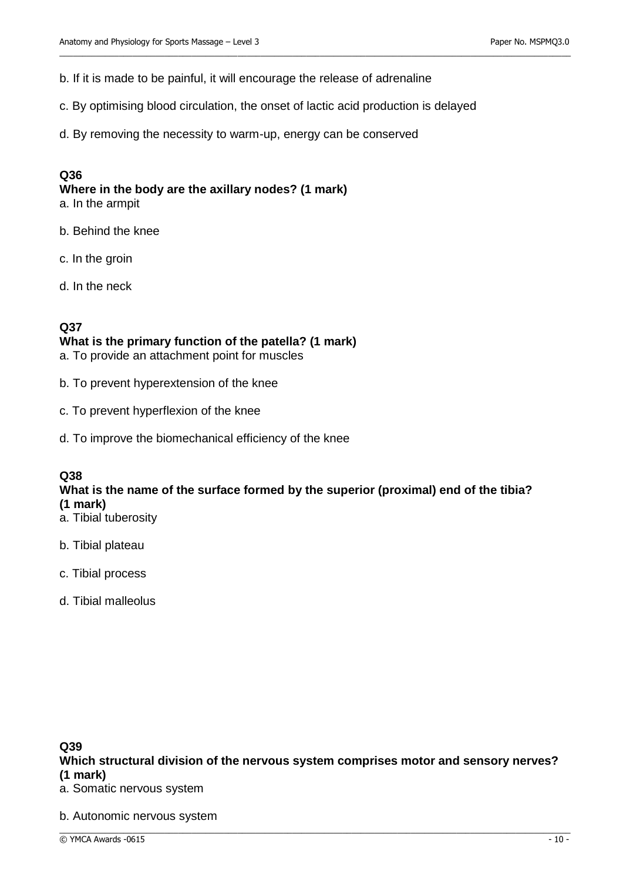b. If it is made to be painful, it will encourage the release of adrenaline

c. By optimising blood circulation, the onset of lactic acid production is delayed

 $\_$  ,  $\_$  ,  $\_$  ,  $\_$  ,  $\_$  ,  $\_$  ,  $\_$  ,  $\_$  ,  $\_$  ,  $\_$  ,  $\_$  ,  $\_$  ,  $\_$  ,  $\_$  ,  $\_$  ,  $\_$  ,  $\_$  ,  $\_$  ,  $\_$  ,  $\_$  ,  $\_$  ,  $\_$  ,  $\_$  ,  $\_$  ,  $\_$  ,  $\_$  ,  $\_$  ,  $\_$  ,  $\_$  ,  $\_$  ,  $\_$  ,  $\_$  ,  $\_$  ,  $\_$  ,  $\_$  ,  $\_$  ,  $\_$  ,

d. By removing the necessity to warm-up, energy can be conserved

#### **Q36**

**Where in the body are the axillary nodes? (1 mark)** 

a. In the armpit

b. Behind the knee

- c. In the groin
- d. In the neck

### **Q37**

### **What is the primary function of the patella? (1 mark)**

a. To provide an attachment point for muscles

- b. To prevent hyperextension of the knee
- c. To prevent hyperflexion of the knee
- d. To improve the biomechanical efficiency of the knee

### **Q38**

### **What is the name of the surface formed by the superior (proximal) end of the tibia? (1 mark)**

- a. Tibial tuberosity
- b. Tibial plateau
- c. Tibial process
- d. Tibial malleolus

#### **Q39 Which structural division of the nervous system comprises motor and sensory nerves? (1 mark)**

- a. Somatic nervous system
- b. Autonomic nervous system